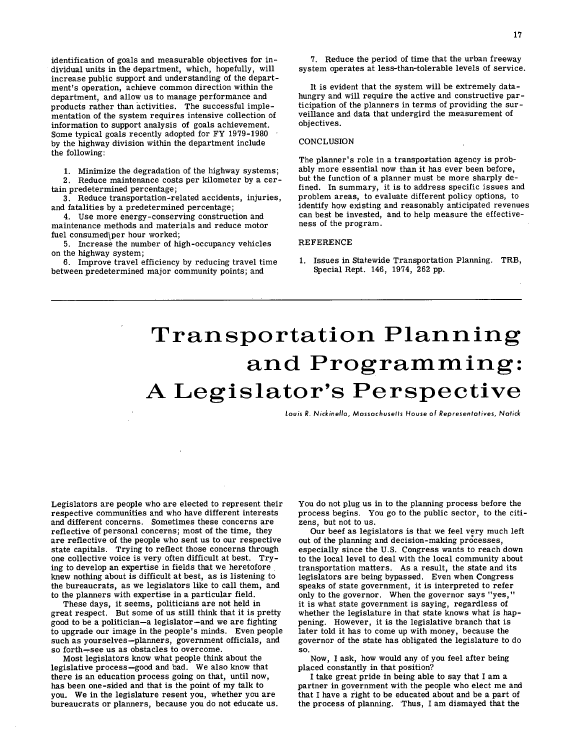identification of goals and measurable objectives for individual units in the department, which, hopefully, will increase public support and understanding of the department's operation, achieve common direction within the department, and allow us to manage performance and products rather than activities. The successful implementation of the system requires intensive collection of information to support analysis of goals achievement. Some typical goals recently adopted for FY 1979-1980 by the highway division within the department include the following:

Minimize the degradation of the highway systems;

2. Reduce maintenance costs per kilometer by a certain predetermined percentage;

3. Reduce transportation-related accidents, injuries, and fatalities by a predetermined percentage;

Use more energy-conserving construction and maintenance methods and materials and reduce motor fuel consumed\per hour worked;

5. Increase the number of high-occupancy vehicles on the highway system;

6. Improve travel efficiency by reducing travel time between predetermined major community points; and

7. Reduce the period of time that the urban freeway system operates at less-than-tolerable levels of service.

It is evident that the system will be extremely datahungry and will require the active and constructive participation of the planners in terms of providing the surveillance and data that undergird the measurement of objectives.

## CONCLUSION

The planner's role in a transportation agency is probably more essential now than it has ever been before, but the function of a planner must be more sharply defined. In summary, it is to address specific issues and problem areas, to evaluate different policy options, to identify how existing and reasonably anticipated revenues can best be invested, and to help measure the effectiveness of the program.

## REFERENCE

1. Issues in Statewide Transportation Planning. TRB, Special Rept. 146, 1974, 262 pp.

## **Transportation Planning and Programming: A Legislator's Perspective**

*Louis R. Nickineflo, Massachusetts House of Representatives, Natick* 

Legislators are people who are elected to represent their respective communities and who have different interests and different concerns. Sometimes these concerns are reflective of personal concerns; most of the time, they are reflective of the people who sent us to our respective state capitals. Trying to reflect those concerns through one collective voice is very often difficult at best. Trying to develop an expertise in fields that we heretofore knew nothing about is difficult at best, as is listening to the bureaucrats, as we legislators like to call them, and to the planners with expertise in a particular field.

These days, it seems, politicians are not held in great respect. But some of us still think that it is pretty good to be a politician—a legislator—and we are fighting to upgrade our image in the people's minds. Even people such as yourselves—planners, government officials, and so forth—see us as obstacles to overcome.

Most legislators know what people think about the legislative process—good and bad. We also know that there is an education process going on that, until now, has been one-sided and that is the point of my talk to you. We in the legislature resent you, whether you are bureaucrats or planners, because you do not educate us.

You do not plug us in to the planning process before the process begins. You go to the public sector, to the citizens, but not to us.

Our beef as legislators is that we feel very much left out of the planning and decision-making processes, especially since the U.S. Congress wants to reach down to the local level to deal with the local community about transportation matters. As a result, the state and its legislators are being bypassed. Even when Congress speaks of state government, it is interpreted to refer only to the governor. When the governor says "yes," it is what state government is saying, regardless of whether the legislature in that state knows what is happening. However, it is the legislative branch that is later told it has to come up with money, because the governor of the state has obligated the legislature to do so.

Now, I ask, how would any of you feel after being placed constantly in that position?

I take great pride in being able to say that I am a partner in government with the people who elect me and that I have a right to be educated about and be a part of the process of planning. Thus, I am dismayed that the